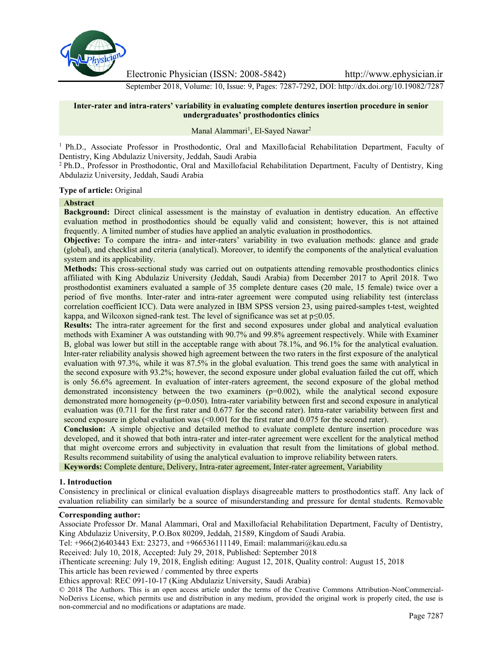

Electronic Physician (ISSN: 2008-5842) http://www.ephysician.ir

September 2018, Volume: 10, Issue: 9, Pages: 7287-7292, DOI: http://dx.doi.org/10.19082/7287

# **Inter-rater and intra-raters' variability in evaluating complete dentures insertion procedure in senior undergraduates' prosthodontics clinics**

#### Manal Alammari<sup>1</sup>, El-Sayed Nawar<sup>2</sup>

<sup>1</sup> Ph.D., Associate Professor in Prosthodontic, Oral and Maxillofacial Rehabilitation Department, Faculty of Dentistry, King Abdulaziz University, Jeddah, Saudi Arabia

<sup>2</sup> Ph.D., Professor in Prosthodontic, Oral and Maxillofacial Rehabilitation Department, Faculty of Dentistry, King Abdulaziz University, Jeddah, Saudi Arabia

#### **Type of article:** Original

#### **Abstract**

**Background:** Direct clinical assessment is the mainstay of evaluation in dentistry education. An effective evaluation method in prosthodontics should be equally valid and consistent; however, this is not attained frequently. A limited number of studies have applied an analytic evaluation in prosthodontics.

**Objective:** To compare the intra- and inter-raters' variability in two evaluation methods: glance and grade (global), and checklist and criteria (analytical). Moreover, to identify the components of the analytical evaluation system and its applicability.

**Methods:** This cross-sectional study was carried out on outpatients attending removable prosthodontics clinics affiliated with King Abdulaziz University (Jeddah, Saudi Arabia) from December 2017 to April 2018. Two prosthodontist examiners evaluated a sample of 35 complete denture cases (20 male, 15 female) twice over a period of five months. Inter-rater and intra-rater agreement were computed using reliability test (interclass correlation coefficient ICC). Data were analyzed in IBM SPSS version 23, using paired-samples t-test, weighted kappa, and Wilcoxon signed-rank test. The level of significance was set at  $p \le 0.05$ .

**Results:** The intra-rater agreement for the first and second exposures under global and analytical evaluation methods with Examiner A was outstanding with 90.7% and 99.8% agreement respectively. While with Examiner B, global was lower but still in the acceptable range with about 78.1%, and 96.1% for the analytical evaluation. Inter-rater reliability analysis showed high agreement between the two raters in the first exposure of the analytical evaluation with 97.3%, while it was 87.5% in the global evaluation. This trend goes the same with analytical in the second exposure with 93.2%; however, the second exposure under global evaluation failed the cut off, which is only 56.6% agreement. In evaluation of inter-raters agreement, the second exposure of the global method demonstrated inconsistency between the two examiners (p=0.002), while the analytical second exposure demonstrated more homogeneity (p=0.050). Intra-rater variability between first and second exposure in analytical evaluation was (0.711 for the first rater and 0.677 for the second rater). Intra-rater variability between first and second exposure in global evaluation was  $\leq 0.001$  for the first rater and 0.075 for the second rater).

**Conclusion:** A simple objective and detailed method to evaluate complete denture insertion procedure was developed, and it showed that both intra-rater and inter-rater agreement were excellent for the analytical method that might overcome errors and subjectivity in evaluation that result from the limitations of global method. Results recommend suitability of using the analytical evaluation to improve reliability between raters.

**Keywords:** Complete denture, Delivery, Intra-rater agreement, Inter-rater agreement, Variability

## **1. Introduction**

Consistency in preclinical or clinical evaluation displays disagreeable matters to prosthodontics staff. Any lack of evaluation reliability can similarly be a source of misunderstanding and pressure for dental students. Removable

#### **Corresponding author:**

Associate Professor Dr. Manal Alammari, Oral and Maxillofacial Rehabilitation Department, Faculty of Dentistry, King Abdulaziz University, P.O.Box 80209, Jeddah, 21589, Kingdom of Saudi Arabia.

Tel: +966(2)6403443 Ext: 23273, and +966536111149, Email: malammari@kau.edu.sa

Received: July 10, 2018, Accepted: July 29, 2018, Published: September 2018

iThenticate screening: July 19, 2018, English editing: August 12, 2018, Quality control: August 15, 2018

This article has been reviewed / commented by three experts

Ethics approval: REC 091-10-17 (King Abdulaziz University, Saudi Arabia)

© 2018 The Authors. This is an open access article under the terms of the Creative Commons Attribution-NonCommercial- NoDerivs License, which permits use and distribution in any medium, provided the original work is properly cited, the use is non-commercial and no modifications or adaptations are made.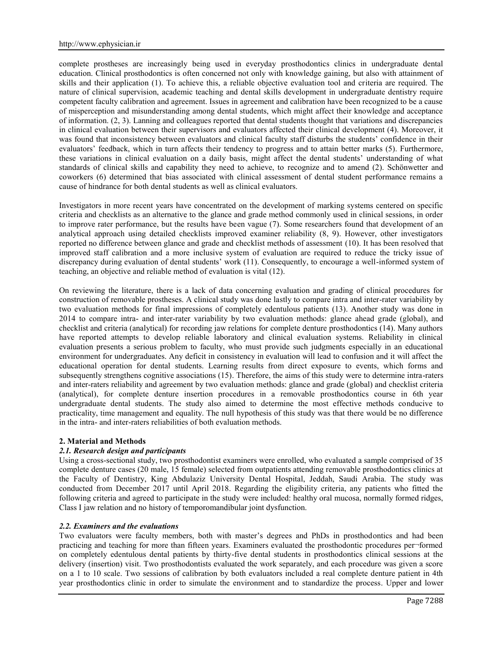complete prostheses are increasingly being used in everyday prosthodontics clinics in undergraduate dental education. Clinical prosthodontics is often concerned not only with knowledge gaining, but also with attainment of skills and their application (1). To achieve this, a reliable objective evaluation tool and criteria are required. The nature of clinical supervision, academic teaching and dental skills development in undergraduate dentistry require competent faculty calibration and agreement. Issues in agreement and calibration have been recognized to be a cause of misperception and misunderstanding among dental students, which might affect their knowledge and acceptance of information. (2, 3). Lanning and colleagues reported that dental students thought that variations and discrepancies in clinical evaluation between their supervisors and evaluators affected their clinical development (4). Moreover, it was found that inconsistency between evaluators and clinical faculty staff disturbs the students' confidence in their evaluators' feedback, which in turn affects their tendency to progress and to attain better marks (5). Furthermore, these variations in clinical evaluation on a daily basis, might affect the dental students' understanding of what standards of clinical skills and capability they need to achieve, to recognize and to amend (2). Schönwetter and coworkers (6) determined that bias associated with clinical assessment of dental student performance remains a cause of hindrance for both dental students as well as clinical evaluators.

Investigators in more recent years have concentrated on the development of marking systems centered on specific criteria and checklists as an alternative to the glance and grade method commonly used in clinical sessions, in order to improve rater performance, but the results have been vague (7). Some researchers found that development of an analytical approach using detailed checklists improved examiner reliability (8, 9). However, other investigators reported no difference between glance and grade and checklist methods of assessment (10). It has been resolved that improved staff calibration and a more inclusive system of evaluation are required to reduce the tricky issue of discrepancy during evaluation of dental students' work (11). Consequently, to encourage a well-informed system of teaching, an objective and reliable method of evaluation is vital (12).

On reviewing the literature, there is a lack of data concerning evaluation and grading of clinical procedures for construction of removable prostheses. A clinical study was done lastly to compare intra and inter-rater variability by two evaluation methods for final impressions of completely edentulous patients (13). Another study was done in 2014 to compare intra- and inter-rater variability by two evaluation methods: glance ahead grade (global), and checklist and criteria (analytical) for recording jaw relations for complete denture prosthodontics (14). Many authors have reported attempts to develop reliable laboratory and clinical evaluation systems. Reliability in clinical evaluation presents a serious problem to faculty, who must provide such judgments especially in an educational environment for undergraduates. Any deficit in consistency in evaluation will lead to confusion and it will affect the educational operation for dental students. Learning results from direct exposure to events, which forms and subsequently strengthens cognitive associations (15). Therefore, the aims of this study were to determine intra-raters and inter-raters reliability and agreement by two evaluation methods: glance and grade (global) and checklist criteria (analytical), for complete denture insertion procedures in a removable prosthodontics course in 6th year undergraduate dental students. The study also aimed to determine the most effective methods conducive to practicality, time management and equality. The null hypothesis of this study was that there would be no difference in the intra- and inter-raters reliabilities of both evaluation methods.

## **2. Material and Methods**

#### *2.1. Research design and participants*

Using a cross-sectional study, two prosthodontist examiners were enrolled, who evaluated a sample comprised of 35 complete denture cases (20 male, 15 female) selected from outpatients attending removable prosthodontics clinics at the Faculty of Dentistry, King Abdulaziz University Dental Hospital, Jeddah, Saudi Arabia. The study was conducted from December 2017 until April 2018. Regarding the eligibility criteria, any patients who fitted the following criteria and agreed to participate in the study were included: healthy oral mucosa, normally formed ridges, Class I jaw relation and no history of temporomandibular joint dysfunction.

#### *2.2. Examiners and the evaluations*

Two evaluators were faculty members, both with master's degrees and PhDs in prosthodontics and had been practicing and teaching for more than fifteen years. Examiners evaluated the prosthodontic procedures per¬formed on completely edentulous dental patients by thirty-five dental students in prosthodontics clinical sessions at the delivery (insertion) visit. Two prosthodontists evaluated the work separately, and each procedure was given a score on a 1 to 10 scale. Two sessions of calibration by both evaluators included a real complete denture patient in 4th year prosthodontics clinic in order to simulate the environment and to standardize the process. Upper and lower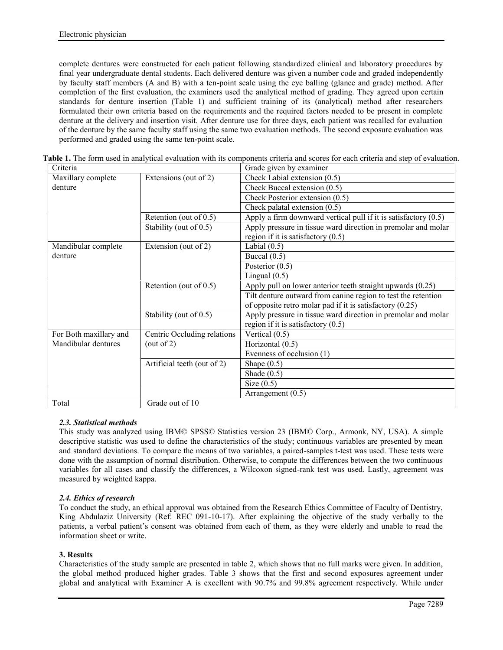complete dentures were constructed for each patient following standardized clinical and laboratory procedures by final year undergraduate dental students. Each delivered denture was given a number code and graded independently by faculty staff members (A and B) with a ten-point scale using the eye balling (glance and grade) method. After completion of the first evaluation, the examiners used the analytical method of grading. They agreed upon certain standards for denture insertion (Table 1) and sufficient training of its (analytical) method after researchers formulated their own criteria based on the requirements and the required factors needed to be present in complete denture at the delivery and insertion visit. After denture use for three days, each patient was recalled for evaluation of the denture by the same faculty staff using the same two evaluation methods. The second exposure evaluation was performed and graded using the same ten-point scale.

| Criteria               |                             | Grade given by examiner                                           |
|------------------------|-----------------------------|-------------------------------------------------------------------|
| Maxillary complete     | Extensions (out of 2)       | Check Labial extension $(0.5)$                                    |
| denture                |                             | Check Buccal extension $(0.5)$                                    |
|                        |                             | Check Posterior extension (0.5)                                   |
|                        |                             | Check palatal extension $(0.5)$                                   |
|                        | Retention (out of $0.5$ )   | Apply a firm downward vertical pull if it is satisfactory $(0.5)$ |
|                        | Stability (out of 0.5)      | Apply pressure in tissue ward direction in premolar and molar     |
|                        |                             | region if it is satisfactory $(0.5)$                              |
| Mandibular complete    | Extension (out of 2)        | Labial $(0.5)$                                                    |
| denture                |                             | Buccal $(0.5)$                                                    |
|                        |                             | Posterior $(0.5)$                                                 |
|                        |                             | Lingual $(0.5)$                                                   |
|                        | Retention (out of $0.5$ )   | Apply pull on lower anterior teeth straight upwards (0.25)        |
|                        |                             | Tilt denture outward from canine region to test the retention     |
|                        |                             | of opposite retro molar pad if it is satisfactory (0.25)          |
|                        | Stability (out of 0.5)      | Apply pressure in tissue ward direction in premolar and molar     |
|                        |                             | region if it is satisfactory $(0.5)$                              |
| For Both maxillary and | Centric Occluding relations | Vertical $(0.5)$                                                  |
| Mandibular dentures    | (out of 2)                  | Horizontal (0.5)                                                  |
|                        |                             | Evenness of occlusion (1)                                         |
|                        | Artificial teeth (out of 2) | Shape $(0.5)$                                                     |
|                        |                             | Shade $(0.5)$                                                     |
|                        |                             | Size $(0.5)$                                                      |
|                        |                             | Arrangement $(0.5)$                                               |
| Total                  | Grade out of 10             |                                                                   |

**Table 1.** The form used in analytical evaluation with its components criteria and scores for each criteria and step of evaluation.

## *2.3. Statistical methods*

This study was analyzed using IBM© SPSS© Statistics version 23 (IBM© Corp., Armonk, NY, USA). A simple descriptive statistic was used to define the characteristics of the study; continuous variables are presented by mean and standard deviations. To compare the means of two variables, a paired-samples t-test was used. These tests were done with the assumption of normal distribution. Otherwise, to compute the differences between the two continuous variables for all cases and classify the differences, a Wilcoxon signed-rank test was used. Lastly, agreement was measured by weighted kappa.

## *2.4. Ethics of research*

To conduct the study, an ethical approval was obtained from the Research Ethics Committee of Faculty of Dentistry, King Abdulaziz University (Ref: REC 091-10-17). After explaining the objective of the study verbally to the patients, a verbal patient's consent was obtained from each of them, as they were elderly and unable to read the information sheet or write.

## **3. Results**

Characteristics of the study sample are presented in table 2, which shows that no full marks were given. In addition, the global method produced higher grades. Table 3 shows that the first and second exposures agreement under global and analytical with Examiner A is excellent with 90.7% and 99.8% agreement respectively. While under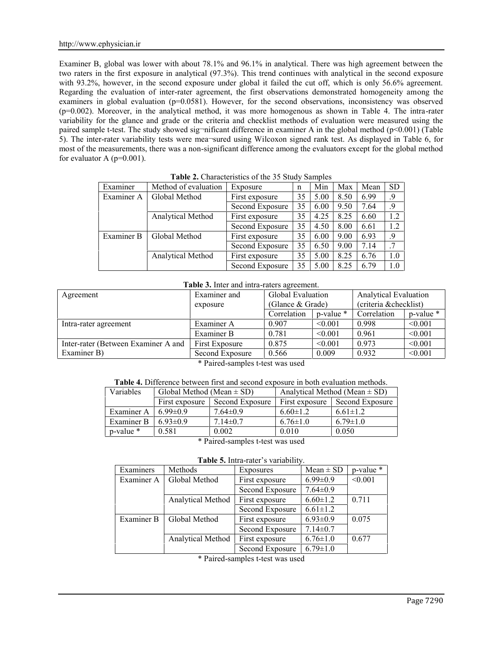Examiner B, global was lower with about 78.1% and 96.1% in analytical. There was high agreement between the two raters in the first exposure in analytical (97.3%). This trend continues with analytical in the second exposure with 93.2%, however, in the second exposure under global it failed the cut off, which is only 56.6% agreement. Regarding the evaluation of inter-rater agreement, the first observations demonstrated homogeneity among the examiners in global evaluation  $(p=0.0581)$ . However, for the second observations, inconsistency was observed (p=0.002). Moreover, in the analytical method, it was more homogenous as shown in Table 4. The intra-rater variability for the glance and grade or the criteria and checklist methods of evaluation were measured using the paired sample t-test. The study showed sig¬nificant difference in examiner A in the global method (p<0.001) (Table 5). The inter-rater variability tests were mea¬sured using Wilcoxon signed rank test. As displayed in Table 6, for most of the measurements, there was a non-significant difference among the evaluators except for the global method for evaluator A  $(p=0.001)$ .

| Examiner   | Method of evaluation | Exposure        | n  | Min  | Max  | Mean | <b>SD</b> |
|------------|----------------------|-----------------|----|------|------|------|-----------|
| Examiner A | Global Method        | First exposure  | 35 | 5.00 | 8.50 | 6.99 | .9        |
|            |                      | Second Exposure | 35 | 6.00 | 9.50 | 7.64 | .9        |
|            | Analytical Method    | First exposure  | 35 | 4.25 | 8.25 | 6.60 | 1.2       |
|            |                      | Second Exposure | 35 | 4.50 | 8.00 | 6.61 | 1.2       |
| Examiner B | Global Method        | First exposure  | 35 | 6.00 | 9.00 | 6.93 | .9        |
|            |                      | Second Exposure | 35 | 6.50 | 9.00 | 7.14 | .7        |
|            | Analytical Method    | First exposure  | 35 | 5.00 | 8.25 | 6.76 | 1.0       |
|            |                      | Second Exposure | 35 | 5.00 | 8.25 | 6.79 | 1.0       |

**Table 2.** Characteristics of the 35 Study Samples

# **Table 3.** Inter and intra-raters agreement.

| Agreement                           | Examiner and    | Global Evaluation  |           | <b>Analytical Evaluation</b> |                |  |
|-------------------------------------|-----------------|--------------------|-----------|------------------------------|----------------|--|
|                                     | exposure        | (Glance $&$ Grade) |           | (criteria & checklist)       |                |  |
|                                     |                 | Correlation        | p-value * | Correlation                  | $p$ -value $*$ |  |
| Intra-rater agreement               | Examiner A      | 0.907              | < 0.001   | 0.998                        | < 0.001        |  |
|                                     | Examiner B      | 0.781              | < 0.001   | 0.961                        | < 0.001        |  |
| Inter-rater (Between Examiner A and | First Exposure  | 0.875              | < 0.001   | 0.973                        | < 0.001        |  |
| Examiner B)                         | Second Exposure | 0.566              | 0.009     | 0.932                        | < 0.001        |  |

\* Paired-samples t-test was used

**Table 4.** Difference between first and second exposure in both evaluation methods.

| Variables                  | Global Method (Mean $\pm$ SD) |                 | Analytical Method (Mean $\pm$ SD) |                 |  |  |
|----------------------------|-------------------------------|-----------------|-----------------------------------|-----------------|--|--|
|                            | First exposure                | Second Exposure | First exposure                    | Second Exposure |  |  |
| Examiner A                 | $6.99 \pm 0.9$                | $7.64\pm0.9$    | $6.60 \pm 1.2$                    | $6.61 \pm 1.2$  |  |  |
| Examiner B                 | $6.93 \pm 0.9$                | $7.14 \pm 0.7$  | $6.76 \pm 1.0$                    | $6.79 \pm 1.0$  |  |  |
| p-value *                  | 0.581                         | 0.002           | 0.010                             | 0.050           |  |  |
| $\cdots$ $\cdots$ $\cdots$ |                               |                 |                                   |                 |  |  |

\* Paired-samples t-test was used

**Table 5.** Intra-rater's variability.

| Examiners  | Methods           | Exposures       | Mean $\pm$ SD  | p-value * |
|------------|-------------------|-----------------|----------------|-----------|
| Examiner A | Global Method     | First exposure  | $6.99 \pm 0.9$ | < 0.001   |
|            |                   | Second Exposure | $7.64 \pm 0.9$ |           |
|            | Analytical Method | First exposure  | $6.60 \pm 1.2$ | 0.711     |
|            |                   | Second Exposure | $6.61 \pm 1.2$ |           |
| Examiner B | Global Method     | First exposure  | $6.93 \pm 0.9$ | 0.075     |
|            |                   | Second Exposure | $7.14 \pm 0.7$ |           |
|            | Analytical Method | First exposure  | $6.76 \pm 1.0$ | 0.677     |
|            |                   | Second Exposure | $6.79 \pm 1.0$ |           |

\* Paired-samples t-test was used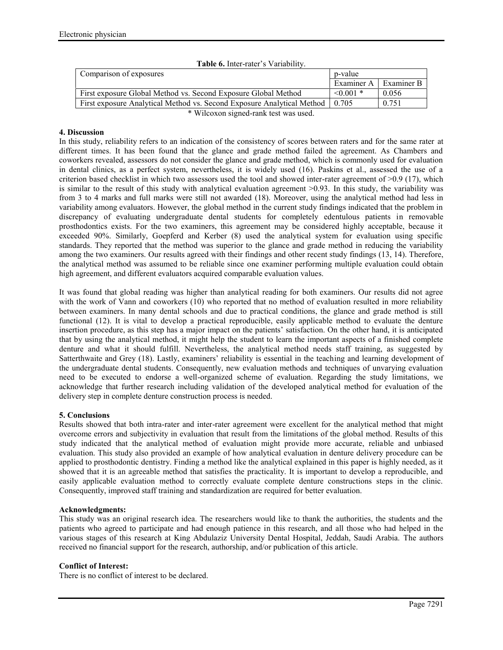| <b>Table 6.</b> Inter-rater s Variability.                             |                |            |
|------------------------------------------------------------------------|----------------|------------|
| Comparison of exposures<br>p-value                                     |                |            |
|                                                                        | Examiner A     | Examiner B |
| First exposure Global Method vs. Second Exposure Global Method         | $\leq 0.001$ * | 0.056      |
| First exposure Analytical Method vs. Second Exposure Analytical Method | 0.705          | 0.751      |
| * Wilcoxon signed rank test was used                                   |                |            |

**Table 6.** Inter-rater's Variability.

Wilcoxon signed-rank test was used.

#### **4. Discussion**

In this study, reliability refers to an indication of the consistency of scores between raters and for the same rater at different times. It has been found that the glance and grade method failed the agreement. As Chambers and coworkers revealed, assessors do not consider the glance and grade method, which is commonly used for evaluation in dental clinics, as a perfect system, nevertheless, it is widely used (16). Paskins et al., assessed the use of a criterion based checklist in which two assessors used the tool and showed inter-rater agreement of  $>0.9$  (17), which is similar to the result of this study with analytical evaluation agreement >0.93. In this study, the variability was from 3 to 4 marks and full marks were still not awarded (18). Moreover, using the analytical method had less in variability among evaluators. However, the global method in the current study findings indicated that the problem in discrepancy of evaluating undergraduate dental students for completely edentulous patients in removable prosthodontics exists. For the two examiners, this agreement may be considered highly acceptable, because it exceeded 90%. Similarly, Goepferd and Kerber (8) used the analytical system for evaluation using specific standards. They reported that the method was superior to the glance and grade method in reducing the variability among the two examiners. Our results agreed with their findings and other recent study findings (13, 14). Therefore, the analytical method was assumed to be reliable since one examiner performing multiple evaluation could obtain high agreement, and different evaluators acquired comparable evaluation values.

It was found that global reading was higher than analytical reading for both examiners. Our results did not agree with the work of Vann and coworkers (10) who reported that no method of evaluation resulted in more reliability between examiners. In many dental schools and due to practical conditions, the glance and grade method is still functional (12). It is vital to develop a practical reproducible, easily applicable method to evaluate the denture insertion procedure, as this step has a major impact on the patients' satisfaction. On the other hand, it is anticipated that by using the analytical method, it might help the student to learn the important aspects of a finished complete denture and what it should fulfill. Nevertheless, the analytical method needs staff training, as suggested by Satterthwaite and Grey (18). Lastly, examiners' reliability is essential in the teaching and learning development of the undergraduate dental students. Consequently, new evaluation methods and techniques of unvarying evaluation need to be executed to endorse a well-organized scheme of evaluation. Regarding the study limitations, we acknowledge that further research including validation of the developed analytical method for evaluation of the delivery step in complete denture construction process is needed.

## **5. Conclusions**

Results showed that both intra-rater and inter-rater agreement were excellent for the analytical method that might overcome errors and subjectivity in evaluation that result from the limitations of the global method. Results of this study indicated that the analytical method of evaluation might provide more accurate, reliable and unbiased evaluation. This study also provided an example of how analytical evaluation in denture delivery procedure can be applied to prosthodontic dentistry. Finding a method like the analytical explained in this paper is highly needed, as it showed that it is an agreeable method that satisfies the practicality. It is important to develop a reproducible, and easily applicable evaluation method to correctly evaluate complete denture constructions steps in the clinic. Consequently, improved staff training and standardization are required for better evaluation.

## **Acknowledgments:**

This study was an original research idea. The researchers would like to thank the authorities, the students and the patients who agreed to participate and had enough patience in this research, and all those who had helped in the various stages of this research at King Abdulaziz University Dental Hospital, Jeddah, Saudi Arabia. The authors received no financial support for the research, authorship, and/or publication of this article.

## **Conflict of Interest:**

There is no conflict of interest to be declared.